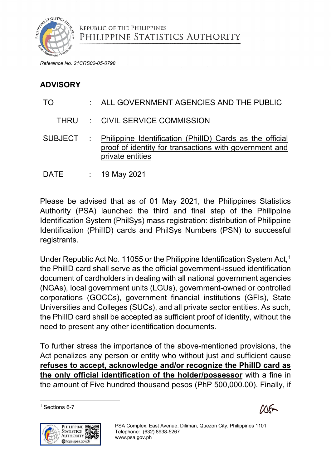

*Reference No. 21CRS02-05-0798*

## **ADVISORY**

# TO : ALL GOVERNMENT AGENCIES AND THE PUBLIC

THRU : CIVIL SERVICE COMMISSION

SUBJECT : Philippine Identification (PhiIID) Cards as the official proof of identity for transactions with government and private entities

DATE : 19 May 2021

Please be advised that as of 01 May 2021, the Philippines Statistics Authority (PSA) launched the third and final step of the Philippine Identification System (PhilSys) mass registration: distribution of Philippine Identification (PhiIID) cards and PhilSys Numbers (PSN) to successful registrants.

Under Republic Act No. 11055 or the Philippine Identification System Act, [1](#page-0-0) the PhilID card shall serve as the official government-issued identification document of cardholders in dealing with all national government agencies (NGAs), local government units (LGUs), government-owned or controlled corporations (GOCCs), government financial institutions (GFIs), State Universities and Colleges (SUCs), and all private sector entities. As such, the PhilID card shall be accepted as sufficient proof of identity, without the need to present any other identification documents.

To further stress the importance of the above-mentioned provisions, the Act penalizes any person or entity who without just and sufficient cause **refuses to accept, acknowledge and/or recognize the PhilID card as the only official identification of the holder/possessor** with a fine in the amount of Five hundred thousand pesos (PhP 500,000.00). Finally, if

<span id="page-0-0"></span><sup>1</sup> Sections 6-7



∕∆რ

PSA Complex, East Avenue, Diliman, Quezon City, Philippines 1101 Telephone: (632) 8938-5267 [www.psa.gov.ph](http://www.psa.gov.ph/)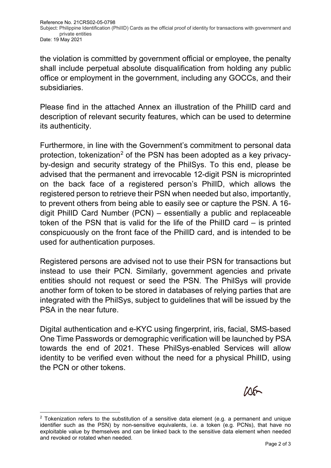Reference No. 21CRS02-05-0798 Subject: Philippine Identification (PhiIID) Cards as the official proof of identity for transactions with government and private entities Date: 19 May 2021

the violation is committed by government official or employee, the penalty shall include perpetual absolute disqualification from holding any public office or employment in the government, including any GOCCs, and their subsidiaries.

Please find in the attached Annex an illustration of the PhilID card and description of relevant security features, which can be used to determine its authenticity.

Furthermore, in line with the Government's commitment to personal data protection, tokenization<sup>[2](#page-1-0)</sup> of the PSN has been adopted as a key privacyby-design and security strategy of the PhilSys. To this end, please be advised that the permanent and irrevocable 12-digit PSN is microprinted on the back face of a registered person's PhilID, which allows the registered person to retrieve their PSN when needed but also, importantly, to prevent others from being able to easily see or capture the PSN. A 16 digit PhilID Card Number (PCN) – essentially a public and replaceable token of the PSN that is valid for the life of the PhilID card – is printed conspicuously on the front face of the PhilID card, and is intended to be used for authentication purposes.

Registered persons are advised not to use their PSN for transactions but instead to use their PCN. Similarly, government agencies and private entities should not request or seed the PSN. The PhilSys will provide another form of token to be stored in databases of relying parties that are integrated with the PhilSys, subject to guidelines that will be issued by the PSA in the near future.

Digital authentication and e-KYC using fingerprint, iris, facial, SMS-based One Time Passwords or demographic verification will be launched by PSA towards the end of 2021. These PhilSys-enabled Services will allow identity to be verified even without the need for a physical PhilID, using the PCN or other tokens.

<span id="page-1-0"></span>

 $2$  Tokenization refers to the substitution of a sensitive data element (e.g. a permanent and unique identifier such as the PSN) by non-sensitive equivalents, i.e. a token (e.g. PCNs), that have no exploitable value by themselves and can be linked back to the sensitive data element when needed and revoked or rotated when needed.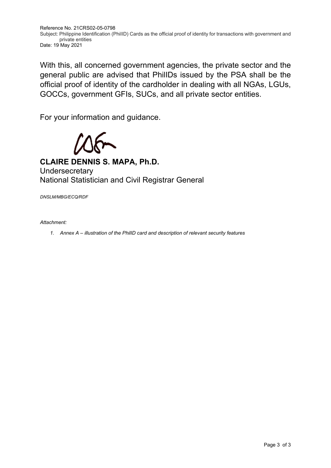Reference No. 21CRS02-05-0798 Subject: Philippine Identification (PhiIID) Cards as the official proof of identity for transactions with government and private entities Date: 19 May 2021

With this, all concerned government agencies, the private sector and the general public are advised that PhilIDs issued by the PSA shall be the official proof of identity of the cardholder in dealing with all NGAs, LGUs, GOCCs, government GFIs, SUCs, and all private sector entities.

For your information and guidance.

 $\delta$ 

**CLAIRE DENNIS S. MAPA, Ph.D. Undersecretary** National Statistician and Civil Registrar General

*DNSLM/MBG/ECQ/RDF* 

#### *Attachment:*

*1. Annex A – illustration of the PhilID card and description of relevant security features*